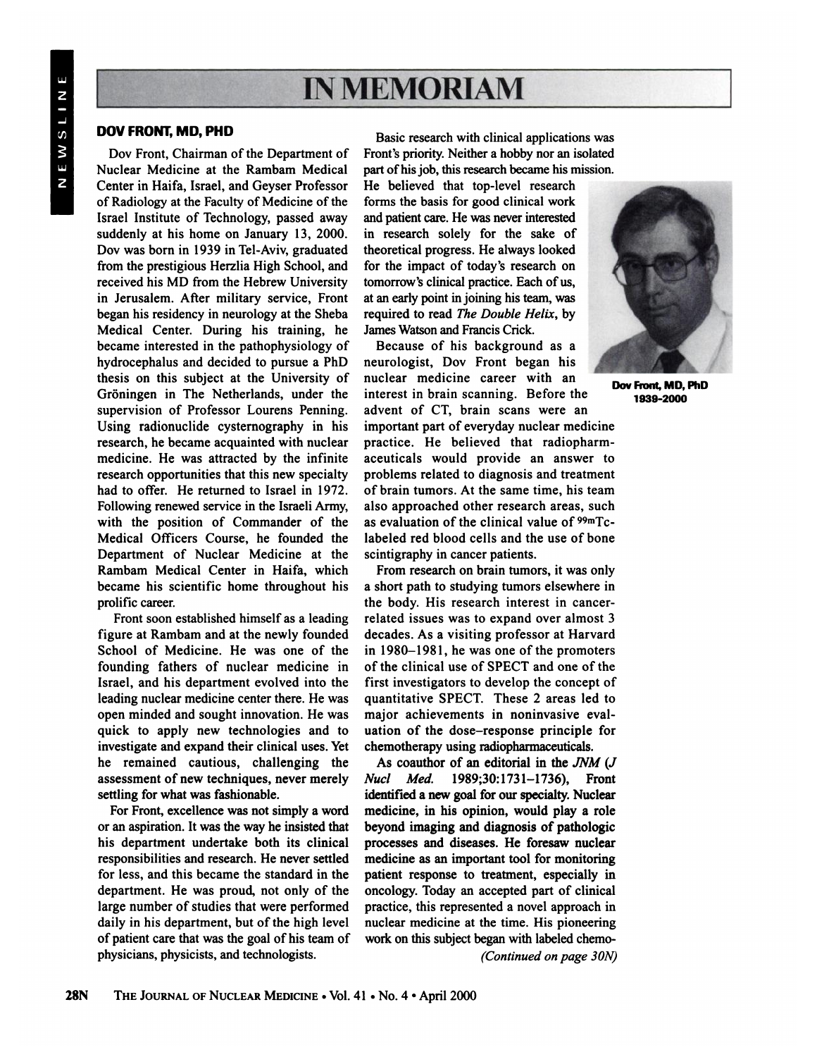## IN MEMORIAM **IN MEMORIAM**<br> **DOV FRONT, MD, PHD**<br>
Basic research with clinical applications was

**Dov** Front, Chairman of the Department of **Nuclear Medicine at the Rambam Medical Center in Haifa, Israel, and Geyser Professor of Radiology at the Facultyof Medicine of the Israel Institute of Technology, passed away suddenly at his home on January 13, 2000. Dov was born in 1939 in Tel-Aviv, graduated** from the prestigious Herzlia High School, and **received his MD from the Hebrew University** in Jerusalem. After military service, Front began his residency in neurology at the Sheba **Medical Center. During his training, he became interested in the pathophysiology of hydrocephalus and decided to pursue a PhD thesis on this subject at the University of Groningen in The Netherlands, under the supervision of Professor Lourens Penning. Using radionuclide cysternography in his research, he became acquainted with nuclear medicine. He was attracted by the infinite research** opportunities that this new specialty **had to offer. He returned to Israel in 1972.** Following renewed service in the Israeli Army, **with the position of Commander of the Medical Officers Course, he founded the Department of Nuclear Medicine at the Rambam Medical Center in Haifa, which became his scientific home throughout his** prolific career.

**Front soon established himself as a leading figure at Rambam and at the newly founded School of Medicine. He was one of the founding fathers of nuclear medicine in Israel, and his department evolved into the leading nuclearmedicine center there.He was open minded and sought innovation. He was quick to apply new technologies and to investigate and expand their clinical uses. Yet he remained cautious, challenging the assessment of new techniques, never merely** settling for what was fashionable.

For Front, excellence was not simply a word **or an aspiration.Itwas the way he insistedthat his department undertake both its clinical responsibilities and research.He never settled for less, and this became the standardin the department. He was proud, not only of the large number of studies that were performed daily in his department, but of the high level of patientcare thatwas the goal of his team of physicians, physicists, and technologists.**

Basic research with clinical applications was **Front's priority. Neither a hobby nor an isolated** part of his job, this research became his mission.

**He believed that top-level research forms the basis for good clinical work** and patient care. He was never interested **in research solely for the sake of theoretical progress. He always looked for the impact of today's research on** tomorrow's clinical practice. Each of us, **at anearlypointinjoining histeam,was** required to read The Double Helix, by James Watson and Francis Crick.

**Because of his background as a neurologist, Dov Front began his nuclear medicine career with an interest in brain scanning. Before the advent of CT, brain scans were an important part of everyday nuclear medicine practice. He believed that radiopharm aceuticals would provide an answer to problems related to diagnosis and treatment of brain tumors. At the same time, his team also approached other research areas, such as evaluation of the clinical value of 99mTc@ labeled red blood cells and the use of bone scintigraphy in cancer patients.**

**Fromresearch on braintumors, it was only a short path to studying tumors elsewhere in the body. His research interest in cancer related issues was to expand over almost 3 decades. As a visiting professor at Harvard in** 1980–1981, he was one of the promoters **of the clinical use of SPECT and one of the first investigators to develop the concept of quantitative SPECT. These 2 areas led to major achievements in noninvasive eval uation of the dose—responseprinciple for chemotherapyusing radiophannaceuticals.**

**As coauthor of an editorial in the JNM (J Nuci Med. 1989;30:1731—1736), Front** identified a new goal for our specialty. Nuclear medicine, in his opinion, would play a role **beyond imaging and diagnosis of pathologic processes and diseases. He foresaw nuclear** medicine as an important tool for monitoring **patient response to treatment, especially in** oncology. Today an accepted part of clinical **practice, this representeda novel approachin nuclear medicine at the time. His pioneering work on this subject began with labeled chemo**

*(Continued on page 30N)*



Dov Front, MD, PhD **1939-2000**